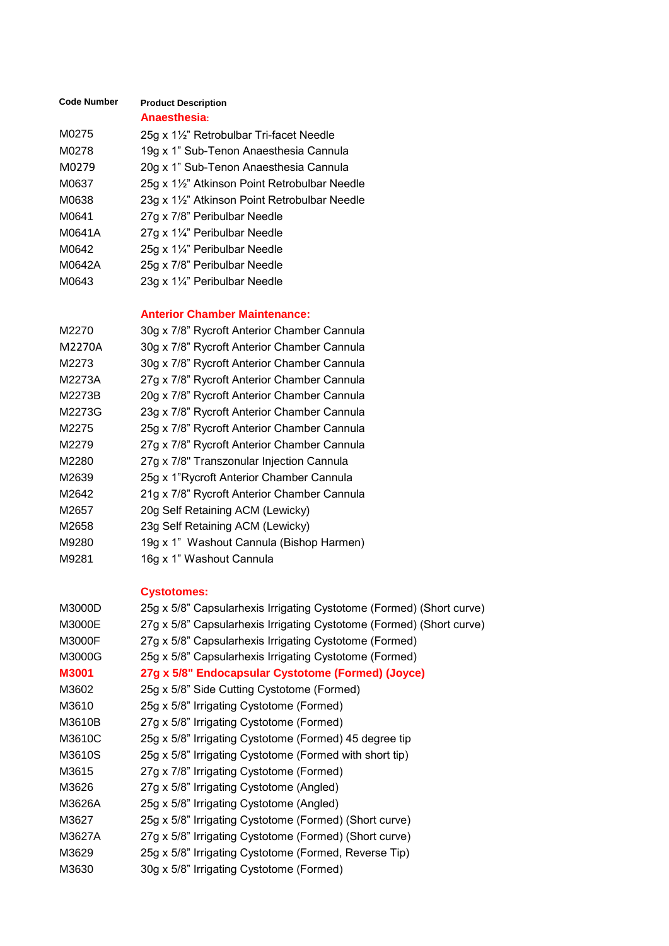| <b>Code Number</b> | <b>Product Description</b>                  |
|--------------------|---------------------------------------------|
|                    | Anaesthesia:                                |
| M0275              | 25g x 1½" Retrobulbar Tri-facet Needle      |
| M0278              | 19g x 1" Sub-Tenon Anaesthesia Cannula      |
| M0279              | 20g x 1" Sub-Tenon Anaesthesia Cannula      |
| M0637              | 25g x 1½" Atkinson Point Retrobulbar Needle |
| M0638              | 23g x 1½" Atkinson Point Retrobulbar Needle |
| M0641              | 27g x 7/8" Peribulbar Needle                |
| M0641A             | 27g x $1\frac{1}{4}$ " Peribulbar Needle    |
| M0642              | 25g x 1¼" Peribulbar Needle                 |
| M0642A             | 25g x 7/8" Peribulbar Needle                |
| M0643              | 23g x 1 $\frac{1}{4}$ " Peribulbar Needle   |
|                    |                                             |

### **Anterior Chamber Maintenance:**

| M2270  | 30g x 7/8" Rycroft Anterior Chamber Cannula |
|--------|---------------------------------------------|
| M2270A | 30g x 7/8" Rycroft Anterior Chamber Cannula |
| M2273  | 30g x 7/8" Rycroft Anterior Chamber Cannula |
| M2273A | 27g x 7/8" Rycroft Anterior Chamber Cannula |
| M2273B | 20g x 7/8" Rycroft Anterior Chamber Cannula |
| M2273G | 23g x 7/8" Rycroft Anterior Chamber Cannula |
| M2275  | 25g x 7/8" Rycroft Anterior Chamber Cannula |
| M2279  | 27g x 7/8" Rycroft Anterior Chamber Cannula |
| M2280  | 27g x 7/8" Transzonular Injection Cannula   |
| M2639  | 25g x 1"Rycroft Anterior Chamber Cannula    |
| M2642  | 21g x 7/8" Rycroft Anterior Chamber Cannula |
| M2657  | 20g Self Retaining ACM (Lewicky)            |
| M2658  | 23g Self Retaining ACM (Lewicky)            |
| M9280  | 19g x 1" Washout Cannula (Bishop Harmen)    |
| M9281  | 16g x 1" Washout Cannula                    |

## **Cystotomes:**

| M3000D | 25g x 5/8" Capsularhexis Irrigating Cystotome (Formed) (Short curve) |
|--------|----------------------------------------------------------------------|
| M3000E | 27g x 5/8" Capsularhexis Irrigating Cystotome (Formed) (Short curve) |
| M3000F | 27g x 5/8" Capsularhexis Irrigating Cystotome (Formed)               |
| M3000G | 25g x 5/8" Capsularhexis Irrigating Cystotome (Formed)               |
| M3001  | 27g x 5/8" Endocapsular Cystotome (Formed) (Joyce)                   |
| M3602  | 25g x 5/8" Side Cutting Cystotome (Formed)                           |
| M3610  | 25g x 5/8" Irrigating Cystotome (Formed)                             |
| M3610B | 27g x 5/8" Irrigating Cystotome (Formed)                             |
| M3610C | 25g x 5/8" Irrigating Cystotome (Formed) 45 degree tip               |
| M3610S | 25g x 5/8" Irrigating Cystotome (Formed with short tip)              |
| M3615  | 27g x 7/8" Irrigating Cystotome (Formed)                             |
| M3626  | 27g x 5/8" Irrigating Cystotome (Angled)                             |
| M3626A | 25g x 5/8" Irrigating Cystotome (Angled)                             |
| M3627  | 25g x 5/8" Irrigating Cystotome (Formed) (Short curve)               |
| M3627A | 27g x 5/8" Irrigating Cystotome (Formed) (Short curve)               |
| M3629  | 25g x 5/8" Irrigating Cystotome (Formed, Reverse Tip)                |
| M3630  | 30g x 5/8" Irrigating Cystotome (Formed)                             |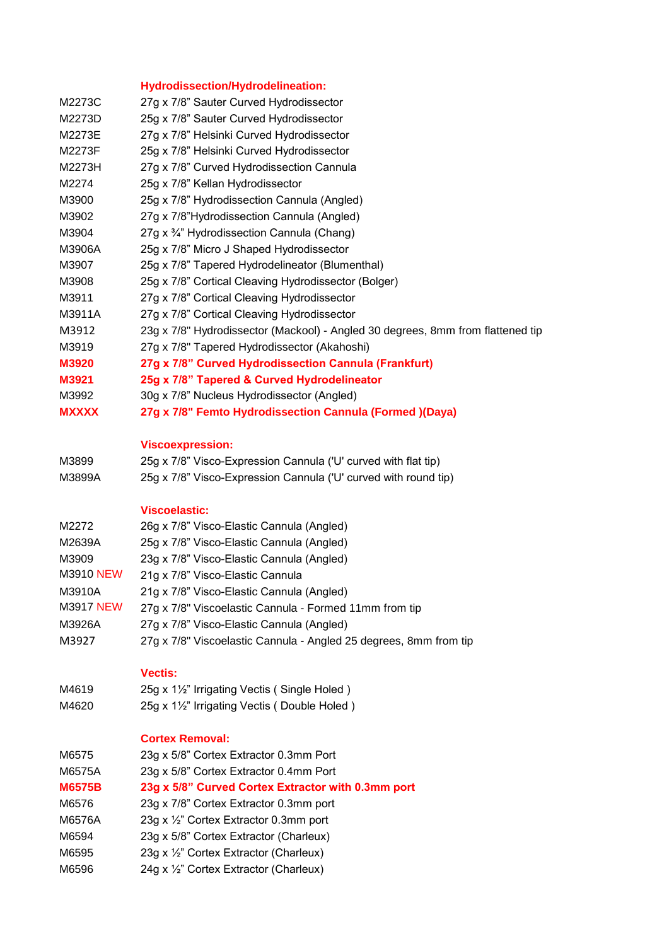# **Hydrodissection/Hydrodelineation:**

| M2273C        | 27g x 7/8" Sauter Curved Hydrodissector                                         |
|---------------|---------------------------------------------------------------------------------|
| M2273D        | 25g x 7/8" Sauter Curved Hydrodissector                                         |
| M2273E        | 27g x 7/8" Helsinki Curved Hydrodissector                                       |
| M2273F        | 25g x 7/8" Helsinki Curved Hydrodissector                                       |
| M2273H        | 27g x 7/8" Curved Hydrodissection Cannula                                       |
| M2274         | 25g x 7/8" Kellan Hydrodissector                                                |
| M3900         | 25g x 7/8" Hydrodissection Cannula (Angled)                                     |
| M3902         | 27g x 7/8"Hydrodissection Cannula (Angled)                                      |
| M3904         | 27g x 3/4" Hydrodissection Cannula (Chang)                                      |
| M3906A        | 25g x 7/8" Micro J Shaped Hydrodissector                                        |
| M3907         | 25g x 7/8" Tapered Hydrodelineator (Blumenthal)                                 |
| M3908         | 25g x 7/8" Cortical Cleaving Hydrodissector (Bolger)                            |
| M3911         | 27g x 7/8" Cortical Cleaving Hydrodissector                                     |
| M3911A        | 27g x 7/8" Cortical Cleaving Hydrodissector                                     |
| M3912         | 23g x 7/8" Hydrodissector (Mackool) - Angled 30 degrees, 8mm from flattened tip |
| M3919         | 27g x 7/8" Tapered Hydrodissector (Akahoshi)                                    |
| <b>M3920</b>  | 27g x 7/8" Curved Hydrodissection Cannula (Frankfurt)                           |
| M3921         | 25g x 7/8" Tapered & Curved Hydrodelineator                                     |
| M3992         | 30g x 7/8" Nucleus Hydrodissector (Angled)                                      |
| <b>MXXXX</b>  | 27g x 7/8" Femto Hydrodissection Cannula (Formed )(Daya)                        |
|               |                                                                                 |
|               | <b>Viscoexpression:</b>                                                         |
| M3899         | 25g x 7/8" Visco-Expression Cannula ('U' curved with flat tip)                  |
| M3899A        | 25g x 7/8" Visco-Expression Cannula ('U' curved with round tip)                 |
|               |                                                                                 |
|               | <b>Viscoelastic:</b>                                                            |
| M2272         | 26g x 7/8" Visco-Elastic Cannula (Angled)                                       |
| M2639A        | 25g x 7/8" Visco-Elastic Cannula (Angled)                                       |
| M3909         | 23g x 7/8" Visco-Elastic Cannula (Angled)                                       |
| M3910 NEW     | 21g x 7/8" Visco-Elastic Cannula                                                |
| M3910A        | 21g x 7/8" Visco-Elastic Cannula (Angled)                                       |
| M3917 NEW     | 27g x 7/8" Viscoelastic Cannula - Formed 11mm from tip                          |
| M3926A        | 27g x 7/8" Visco-Elastic Cannula (Angled)                                       |
| M3927         | 27g x 7/8" Viscoelastic Cannula - Angled 25 degrees, 8mm from tip               |
|               |                                                                                 |
|               | <b>Vectis:</b>                                                                  |
| M4619         | 25g x 1½" Irrigating Vectis (Single Holed)                                      |
| M4620         | 25g x 1½" Irrigating Vectis (Double Holed)                                      |
|               |                                                                                 |
|               | <b>Cortex Removal:</b>                                                          |
| M6575         | 23g x 5/8" Cortex Extractor 0.3mm Port                                          |
| M6575A        | 23g x 5/8" Cortex Extractor 0.4mm Port                                          |
| <b>M6575B</b> | 23g x 5/8" Curved Cortex Extractor with 0.3mm port                              |
| M6576         | 23g x 7/8" Cortex Extractor 0.3mm port                                          |
| M6576A        | 23g x 1/2" Cortex Extractor 0.3mm port                                          |
| M6594         | 23g x 5/8" Cortex Extractor (Charleux)                                          |
| M6595         | 23g x 1/2" Cortex Extractor (Charleux)                                          |
|               | 24g x 1/2" Cortex Extractor (Charleux)                                          |
| M6596         |                                                                                 |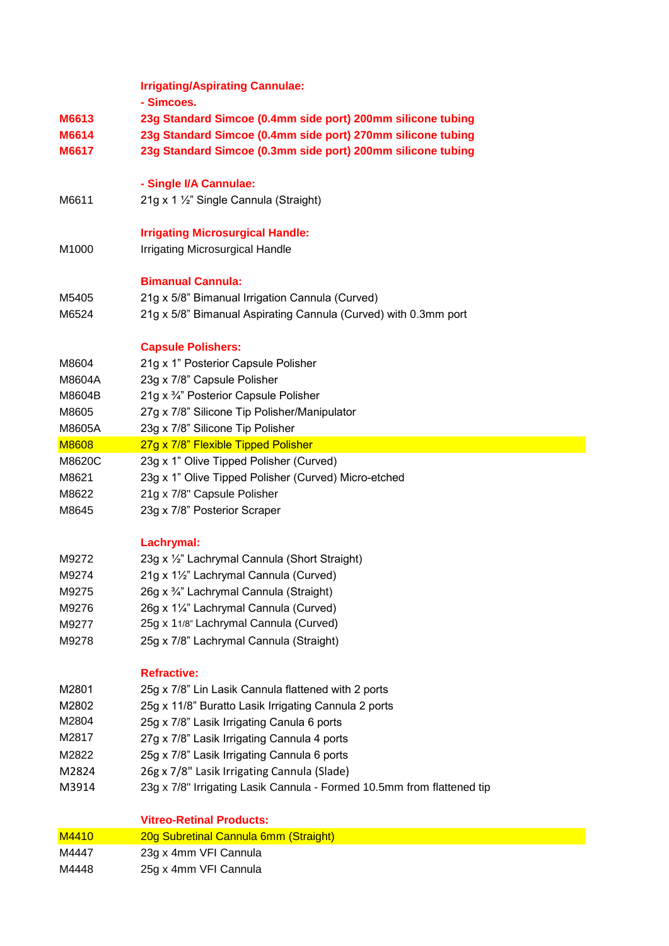|              | <b>Irrigating/Aspirating Cannulae:</b>                                 |
|--------------|------------------------------------------------------------------------|
|              | - Simcoes.                                                             |
| M6613        | 23g Standard Simcoe (0.4mm side port) 200mm silicone tubing            |
| M6614        | 23g Standard Simcoe (0.4mm side port) 270mm silicone tubing            |
| M6617        | 23g Standard Simcoe (0.3mm side port) 200mm silicone tubing            |
|              |                                                                        |
|              | - Single I/A Cannulae:                                                 |
| M6611        | 21g x 1 1/2" Single Cannula (Straight)                                 |
|              | <b>Irrigating Microsurgical Handle:</b>                                |
| M1000        | <b>Irrigating Microsurgical Handle</b>                                 |
|              |                                                                        |
|              | <b>Bimanual Cannula:</b>                                               |
| M5405        | 21g x 5/8" Bimanual Irrigation Cannula (Curved)                        |
| M6524        | 21g x 5/8" Bimanual Aspirating Cannula (Curved) with 0.3mm port        |
|              |                                                                        |
|              | <b>Capsule Polishers:</b>                                              |
| M8604        | 21g x 1" Posterior Capsule Polisher                                    |
| M8604A       | 23g x 7/8" Capsule Polisher                                            |
| M8604B       | 21g x 3/4" Posterior Capsule Polisher                                  |
| M8605        | 27g x 7/8" Silicone Tip Polisher/Manipulator                           |
| M8605A       | 23g x 7/8" Silicone Tip Polisher                                       |
| <b>M8608</b> | 27g x 7/8" Flexible Tipped Polisher                                    |
| M8620C       | 23g x 1" Olive Tipped Polisher (Curved)                                |
| M8621        | 23g x 1" Olive Tipped Polisher (Curved) Micro-etched                   |
| M8622        | 21g x 7/8" Capsule Polisher                                            |
| M8645        | 23g x 7/8" Posterior Scraper                                           |
|              | Lachrymal:                                                             |
| M9272        | 23g x 1/2" Lachrymal Cannula (Short Straight)                          |
| M9274        | 21g x 11/2" Lachrymal Cannula (Curved)                                 |
| M9275        | 26g x 3/4" Lachrymal Cannula (Straight)                                |
| M9276        | 26g x 11/4" Lachrymal Cannula (Curved)                                 |
| M9277        | 25g x 11/8" Lachrymal Cannula (Curved)                                 |
| M9278        | 25g x 7/8" Lachrymal Cannula (Straight)                                |
|              |                                                                        |
|              | <b>Refractive:</b>                                                     |
| M2801        | 25g x 7/8" Lin Lasik Cannula flattened with 2 ports                    |
| M2802        | 25g x 11/8" Buratto Lasik Irrigating Cannula 2 ports                   |
| M2804        | 25g x 7/8" Lasik Irrigating Canula 6 ports                             |
| M2817        | 27g x 7/8" Lasik Irrigating Cannula 4 ports                            |
| M2822        | 25g x 7/8" Lasik Irrigating Cannula 6 ports                            |
| M2824        | 26g x 7/8" Lasik Irrigating Cannula (Slade)                            |
| M3914        | 23g x 7/8" Irrigating Lasik Cannula - Formed 10.5mm from flattened tip |
|              |                                                                        |
|              | <b>Vitreo-Retinal Products:</b>                                        |
| M4410        | 20g Subretinal Cannula 6mm (Straight)                                  |
| M4447        | 23g x 4mm VFI Cannula                                                  |
| M4448        | 25g x 4mm VFI Cannula                                                  |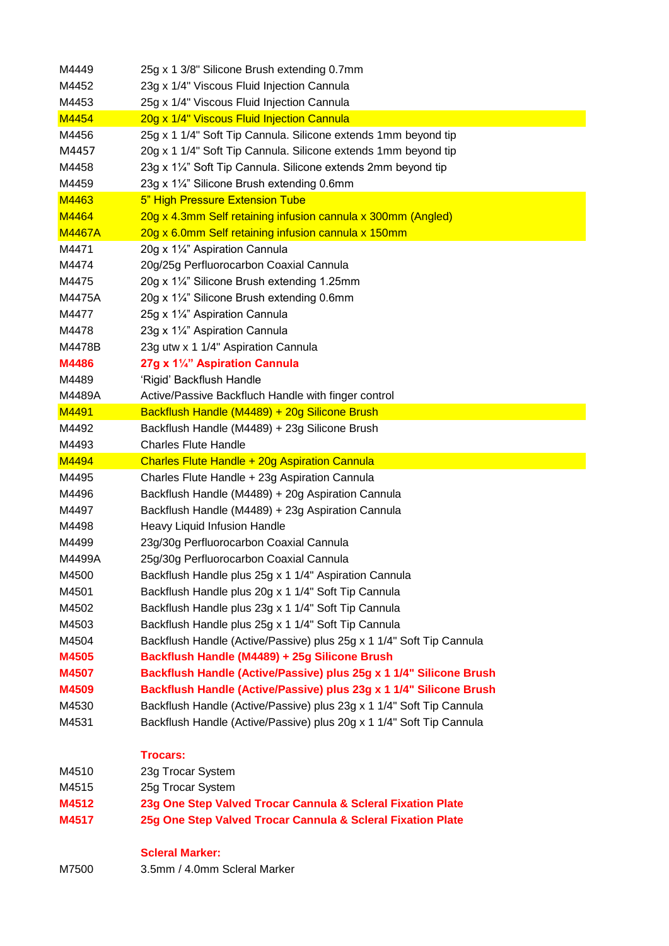| M4449         | 25g x 1 3/8" Silicone Brush extending 0.7mm                          |
|---------------|----------------------------------------------------------------------|
| M4452         | 23g x 1/4" Viscous Fluid Injection Cannula                           |
| M4453         | 25g x 1/4" Viscous Fluid Injection Cannula                           |
| M4454         | 20g x 1/4" Viscous Fluid Injection Cannula                           |
| M4456         | 25g x 1 1/4" Soft Tip Cannula. Silicone extends 1mm beyond tip       |
| M4457         | 20g x 1 1/4" Soft Tip Cannula. Silicone extends 1mm beyond tip       |
| M4458         | 23g x 11/4" Soft Tip Cannula. Silicone extends 2mm beyond tip        |
| M4459         | 23g x 11/4" Silicone Brush extending 0.6mm                           |
| M4463         | 5" High Pressure Extension Tube                                      |
| M4464         | 20g x 4.3mm Self retaining infusion cannula x 300mm (Angled)         |
| <b>M4467A</b> | 20g x 6.0mm Self retaining infusion cannula x 150mm                  |
| M4471         | 20g x 11/4" Aspiration Cannula                                       |
| M4474         | 20g/25g Perfluorocarbon Coaxial Cannula                              |
| M4475         | 20g x 11/4" Silicone Brush extending 1.25mm                          |
| M4475A        | 20g x 11/4" Silicone Brush extending 0.6mm                           |
| M4477         | 25g x 11/4" Aspiration Cannula                                       |
| M4478         | 23g x 11/4" Aspiration Cannula                                       |
| M4478B        | 23g utw x 1 1/4" Aspiration Cannula                                  |
| M4486         | 27g x 11/4" Aspiration Cannula                                       |
| M4489         | 'Rigid' Backflush Handle                                             |
| M4489A        | Active/Passive Backfluch Handle with finger control                  |
| M4491         | Backflush Handle (M4489) + 20g Silicone Brush                        |
| M4492         | Backflush Handle (M4489) + 23g Silicone Brush                        |
| M4493         | <b>Charles Flute Handle</b>                                          |
| M4494         | Charles Flute Handle + 20g Aspiration Cannula                        |
| M4495         | Charles Flute Handle + 23g Aspiration Cannula                        |
| M4496         | Backflush Handle (M4489) + 20g Aspiration Cannula                    |
| M4497         | Backflush Handle (M4489) + 23g Aspiration Cannula                    |
| M4498         | Heavy Liquid Infusion Handle                                         |
| M4499         | 23g/30g Perfluorocarbon Coaxial Cannula                              |
| M4499A        | 25g/30g Perfluorocarbon Coaxial Cannula                              |
| M4500         | Backflush Handle plus 25g x 1 1/4" Aspiration Cannula                |
| M4501         | Backflush Handle plus 20g x 1 1/4" Soft Tip Cannula                  |
| M4502         | Backflush Handle plus 23g x 1 1/4" Soft Tip Cannula                  |
| M4503         | Backflush Handle plus 25g x 1 1/4" Soft Tip Cannula                  |
| M4504         | Backflush Handle (Active/Passive) plus 25g x 1 1/4" Soft Tip Cannula |
| M4505         | Backflush Handle (M4489) + 25g Silicone Brush                        |
| M4507         | Backflush Handle (Active/Passive) plus 25g x 1 1/4" Silicone Brush   |
| M4509         | Backflush Handle (Active/Passive) plus 23g x 1 1/4" Silicone Brush   |
| M4530         | Backflush Handle (Active/Passive) plus 23g x 1 1/4" Soft Tip Cannula |
| M4531         | Backflush Handle (Active/Passive) plus 20g x 1 1/4" Soft Tip Cannula |
|               |                                                                      |
|               | <b>Trocars:</b>                                                      |
| M4510         | 23g Trocar System                                                    |
| M4515         | 25g Trocar System                                                    |
| M4512         | 23g One Step Valved Trocar Cannula & Scleral Fixation Plate          |
| M4517         | 25g One Step Valved Trocar Cannula & Scleral Fixation Plate          |
|               |                                                                      |
|               | <b>Scleral Marker:</b>                                               |
| M7500         | 3.5mm / 4.0mm Scleral Marker                                         |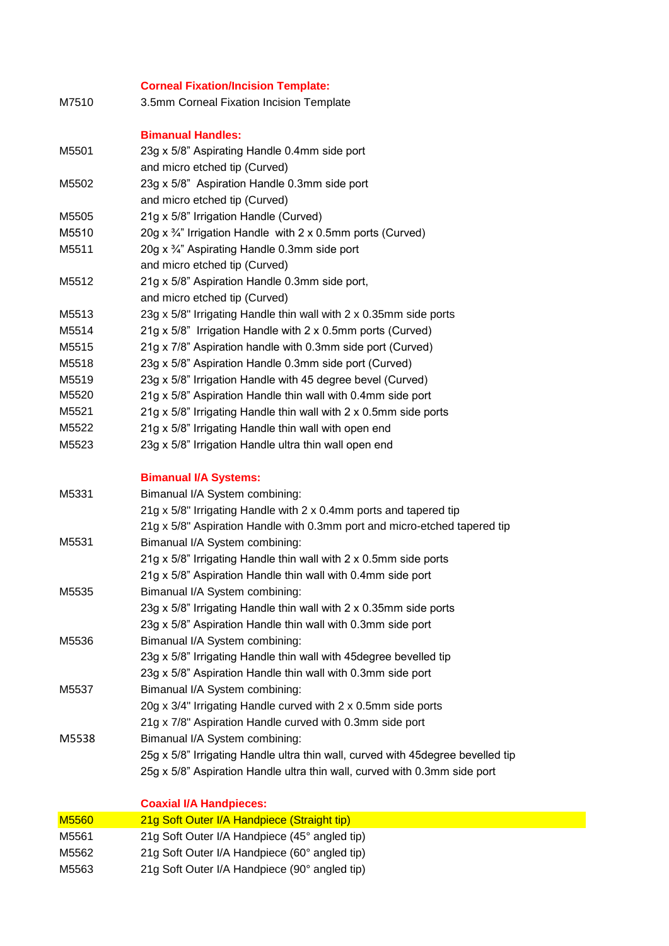## **Corneal Fixation/Incision Template:**

M7510 3.5mm Corneal Fixation Incision Template

### **Bimanual Handles:**

| M5501 | 23g x 5/8" Aspirating Handle 0.4mm side port                          |
|-------|-----------------------------------------------------------------------|
|       | and micro etched tip (Curved)                                         |
| M5502 | 23g x 5/8" Aspiration Handle 0.3mm side port                          |
|       | and micro etched tip (Curved)                                         |
| M5505 | 21g x 5/8" Irrigation Handle (Curved)                                 |
| M5510 | 20g x $\frac{3}{4}$ " Irrigation Handle with 2 x 0.5mm ports (Curved) |
| M5511 | 20g x $\frac{3}{4}$ " Aspirating Handle 0.3mm side port               |
|       | and micro etched tip (Curved)                                         |
| M5512 | 21g x 5/8" Aspiration Handle 0.3mm side port,                         |
|       | and micro etched tip (Curved)                                         |
| M5513 | 23g x 5/8" Irrigating Handle thin wall with 2 x 0.35mm side ports     |
| M5514 | 21g x 5/8" Irrigation Handle with 2 x 0.5mm ports (Curved)            |
| M5515 | 21g x 7/8" Aspiration handle with 0.3mm side port (Curved)            |
| M5518 | 23g x 5/8" Aspiration Handle 0.3mm side port (Curved)                 |
| M5519 | 23g x 5/8" Irrigation Handle with 45 degree bevel (Curved)            |
| M5520 | 21g x 5/8" Aspiration Handle thin wall with 0.4mm side port           |
| M5521 | 21g x 5/8" Irrigating Handle thin wall with 2 x 0.5mm side ports      |
| M5522 | 21g x 5/8" Irrigating Handle thin wall with open end                  |
| M5523 | 23g x 5/8" Irrigation Handle ultra thin wall open end                 |

#### **Bimanual I/A Systems:**

| M5331 | Bimanual I/A System combining:                                                   |
|-------|----------------------------------------------------------------------------------|
|       | 21g x 5/8" Irrigating Handle with 2 x 0.4mm ports and tapered tip                |
|       | 21g x 5/8" Aspiration Handle with 0.3mm port and micro-etched tapered tip        |
| M5531 | Bimanual I/A System combining:                                                   |
|       | 21g x 5/8" Irrigating Handle thin wall with 2 x 0.5mm side ports                 |
|       | 21g x 5/8" Aspiration Handle thin wall with 0.4mm side port                      |
| M5535 | Bimanual I/A System combining:                                                   |
|       | 23g x 5/8" Irrigating Handle thin wall with 2 x 0.35mm side ports                |
|       | 23g x 5/8" Aspiration Handle thin wall with 0.3mm side port                      |
| M5536 | Bimanual I/A System combining:                                                   |
|       | 23g x 5/8" Irrigating Handle thin wall with 45 degree bevelled tip               |
|       | 23g x 5/8" Aspiration Handle thin wall with 0.3mm side port                      |
| M5537 | Bimanual I/A System combining:                                                   |
|       | 20g x 3/4" Irrigating Handle curved with 2 x 0.5mm side ports                    |
|       | 21g x 7/8" Aspiration Handle curved with 0.3mm side port                         |
| M5538 | Bimanual I/A System combining:                                                   |
|       | 25g x 5/8" Irrigating Handle ultra thin wall, curved with 45 degree bevelled tip |
|       | 25g x 5/8" Aspiration Handle ultra thin wall, curved with 0.3mm side port        |

#### **Coaxial I/A Handpieces:**

| <b>M5560</b> | 21g Soft Outer I/A Handpiece (Straight tip)   |
|--------------|-----------------------------------------------|
| M5561        | 21g Soft Outer I/A Handpiece (45° angled tip) |
| M5562        | 21g Soft Outer I/A Handpiece (60° angled tip) |
| M5563        | 21g Soft Outer I/A Handpiece (90° angled tip) |